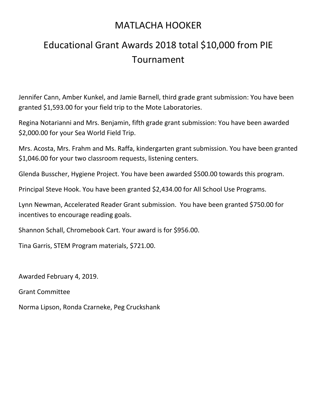## MATLACHA HOOKER

## Educational Grant Awards 2018 total \$10,000 from PIE Tournament

Jennifer Cann, Amber Kunkel, and Jamie Barnell, third grade grant submission: You have been granted \$1,593.00 for your field trip to the Mote Laboratories.

Regina Notarianni and Mrs. Benjamin, fifth grade grant submission: You have been awarded \$2,000.00 for your Sea World Field Trip.

Mrs. Acosta, Mrs. Frahm and Ms. Raffa, kindergarten grant submission. You have been granted \$1,046.00 for your two classroom requests, listening centers.

Glenda Busscher, Hygiene Project. You have been awarded \$500.00 towards this program.

Principal Steve Hook. You have been granted \$2,434.00 for All School Use Programs.

Lynn Newman, Accelerated Reader Grant submission. You have been granted \$750.00 for incentives to encourage reading goals.

Shannon Schall, Chromebook Cart. Your award is for \$956.00.

Tina Garris, STEM Program materials, \$721.00.

Awarded February 4, 2019.

Grant Committee

Norma Lipson, Ronda Czarneke, Peg Cruckshank